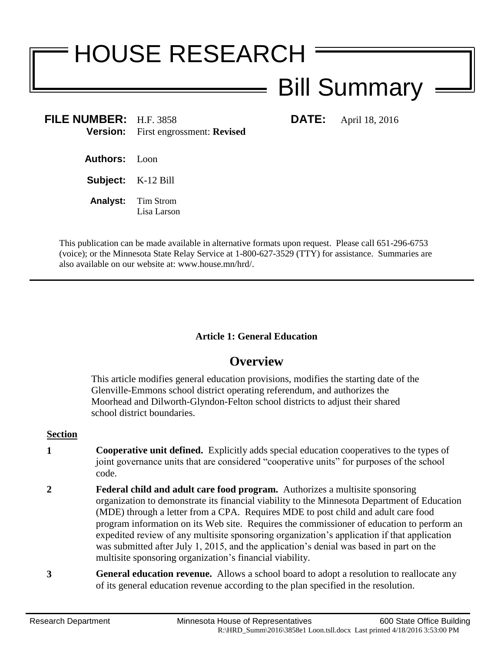# HOUSE RESEARCH Bill Summary

**FILE NUMBER:** H.F. 3858 **DATE:** April 18, 2016 **Version:** First engrossment: **Revised**

**Authors:** Loon

**Subject:** K-12 Bill

**Analyst:** Tim Strom Lisa Larson

This publication can be made available in alternative formats upon request. Please call 651-296-6753 (voice); or the Minnesota State Relay Service at 1-800-627-3529 (TTY) for assistance. Summaries are also available on our website at: www.house.mn/hrd/.

# **Article 1: General Education**

# **Overview**

This article modifies general education provisions, modifies the starting date of the Glenville-Emmons school district operating referendum, and authorizes the Moorhead and Dilworth-Glyndon-Felton school districts to adjust their shared school district boundaries.

#### **Section**

- **1 Cooperative unit defined.** Explicitly adds special education cooperatives to the types of joint governance units that are considered "cooperative units" for purposes of the school code.
- **2 Federal child and adult care food program.** Authorizes a multisite sponsoring organization to demonstrate its financial viability to the Minnesota Department of Education (MDE) through a letter from a CPA. Requires MDE to post child and adult care food program information on its Web site. Requires the commissioner of education to perform an expedited review of any multisite sponsoring organization's application if that application was submitted after July 1, 2015, and the application's denial was based in part on the multisite sponsoring organization's financial viability.
- **3 General education revenue.** Allows a school board to adopt a resolution to reallocate any of its general education revenue according to the plan specified in the resolution.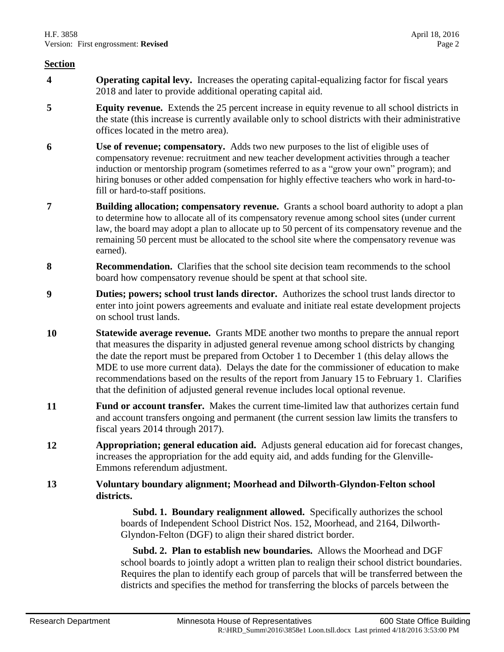- **4 Operating capital levy.** Increases the operating capital-equalizing factor for fiscal years 2018 and later to provide additional operating capital aid.
- **5 Equity revenue.** Extends the 25 percent increase in equity revenue to all school districts in the state (this increase is currently available only to school districts with their administrative offices located in the metro area).
- **6 Use of revenue; compensatory.** Adds two new purposes to the list of eligible uses of compensatory revenue: recruitment and new teacher development activities through a teacher induction or mentorship program (sometimes referred to as a "grow your own" program); and hiring bonuses or other added compensation for highly effective teachers who work in hard-tofill or hard-to-staff positions.
- **7 Building allocation; compensatory revenue.** Grants a school board authority to adopt a plan to determine how to allocate all of its compensatory revenue among school sites (under current law, the board may adopt a plan to allocate up to 50 percent of its compensatory revenue and the remaining 50 percent must be allocated to the school site where the compensatory revenue was earned).
- **8 Recommendation.** Clarifies that the school site decision team recommends to the school board how compensatory revenue should be spent at that school site.
- **9 Duties; powers; school trust lands director.** Authorizes the school trust lands director to enter into joint powers agreements and evaluate and initiate real estate development projects on school trust lands.
- **10 Statewide average revenue.** Grants MDE another two months to prepare the annual report that measures the disparity in adjusted general revenue among school districts by changing the date the report must be prepared from October 1 to December 1 (this delay allows the MDE to use more current data). Delays the date for the commissioner of education to make recommendations based on the results of the report from January 15 to February 1. Clarifies that the definition of adjusted general revenue includes local optional revenue.
- **11 Fund or account transfer.** Makes the current time-limited law that authorizes certain fund and account transfers ongoing and permanent (the current session law limits the transfers to fiscal years 2014 through 2017).
- **12 Appropriation; general education aid.** Adjusts general education aid for forecast changes, increases the appropriation for the add equity aid, and adds funding for the Glenville-Emmons referendum adjustment.

## **13 Voluntary boundary alignment; Moorhead and Dilworth-Glyndon-Felton school districts.**

 **Subd. 1. Boundary realignment allowed.** Specifically authorizes the school boards of Independent School District Nos. 152, Moorhead, and 2164, Dilworth-Glyndon-Felton (DGF) to align their shared district border.

 **Subd. 2. Plan to establish new boundaries.** Allows the Moorhead and DGF school boards to jointly adopt a written plan to realign their school district boundaries. Requires the plan to identify each group of parcels that will be transferred between the districts and specifies the method for transferring the blocks of parcels between the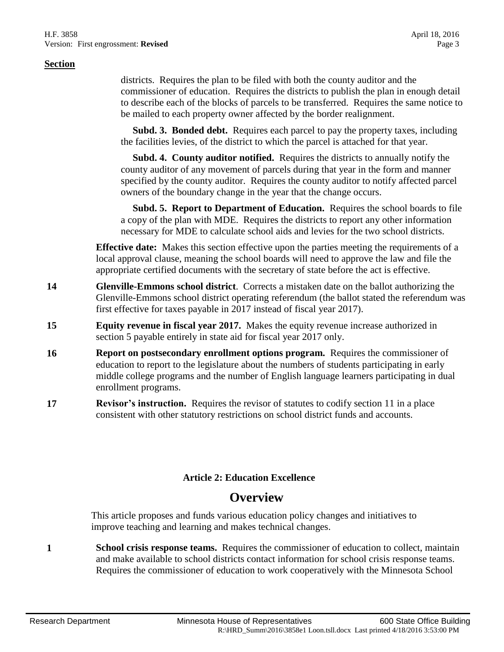districts. Requires the plan to be filed with both the county auditor and the commissioner of education. Requires the districts to publish the plan in enough detail to describe each of the blocks of parcels to be transferred. Requires the same notice to be mailed to each property owner affected by the border realignment.

 **Subd. 3. Bonded debt.** Requires each parcel to pay the property taxes, including the facilities levies, of the district to which the parcel is attached for that year.

 **Subd. 4. County auditor notified.** Requires the districts to annually notify the county auditor of any movement of parcels during that year in the form and manner specified by the county auditor. Requires the county auditor to notify affected parcel owners of the boundary change in the year that the change occurs.

 **Subd. 5. Report to Department of Education.** Requires the school boards to file a copy of the plan with MDE. Requires the districts to report any other information necessary for MDE to calculate school aids and levies for the two school districts.

**Effective date:** Makes this section effective upon the parties meeting the requirements of a local approval clause, meaning the school boards will need to approve the law and file the appropriate certified documents with the secretary of state before the act is effective.

- **14 Glenville-Emmons school district**. Corrects a mistaken date on the ballot authorizing the Glenville-Emmons school district operating referendum (the ballot stated the referendum was first effective for taxes payable in 2017 instead of fiscal year 2017).
- **15 Equity revenue in fiscal year 2017.** Makes the equity revenue increase authorized in section 5 payable entirely in state aid for fiscal year 2017 only.
- **16 Report on postsecondary enrollment options program.** Requires the commissioner of education to report to the legislature about the numbers of students participating in early middle college programs and the number of English language learners participating in dual enrollment programs.
- **17 Revisor's instruction.** Requires the revisor of statutes to codify section 11 in a place consistent with other statutory restrictions on school district funds and accounts.

# **Article 2: Education Excellence**

# **Overview**

This article proposes and funds various education policy changes and initiatives to improve teaching and learning and makes technical changes.

**1 School crisis response teams.** Requires the commissioner of education to collect, maintain and make available to school districts contact information for school crisis response teams. Requires the commissioner of education to work cooperatively with the Minnesota School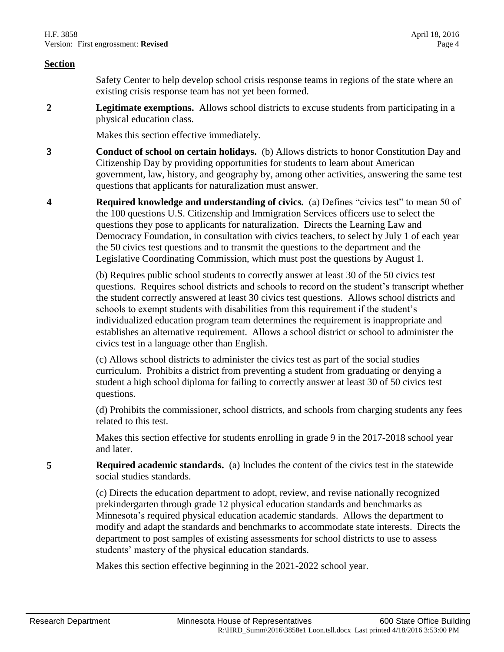Safety Center to help develop school crisis response teams in regions of the state where an existing crisis response team has not yet been formed.

**2 Legitimate exemptions.** Allows school districts to excuse students from participating in a physical education class.

Makes this section effective immediately.

- **3 Conduct of school on certain holidays.** (b) Allows districts to honor Constitution Day and Citizenship Day by providing opportunities for students to learn about American government, law, history, and geography by, among other activities, answering the same test questions that applicants for naturalization must answer.
- **4 Required knowledge and understanding of civics.** (a) Defines "civics test" to mean 50 of the 100 questions U.S. Citizenship and Immigration Services officers use to select the questions they pose to applicants for naturalization. Directs the Learning Law and Democracy Foundation, in consultation with civics teachers, to select by July 1 of each year the 50 civics test questions and to transmit the questions to the department and the Legislative Coordinating Commission, which must post the questions by August 1.

(b) Requires public school students to correctly answer at least 30 of the 50 civics test questions. Requires school districts and schools to record on the student's transcript whether the student correctly answered at least 30 civics test questions. Allows school districts and schools to exempt students with disabilities from this requirement if the student's individualized education program team determines the requirement is inappropriate and establishes an alternative requirement. Allows a school district or school to administer the civics test in a language other than English.

(c) Allows school districts to administer the civics test as part of the social studies curriculum. Prohibits a district from preventing a student from graduating or denying a student a high school diploma for failing to correctly answer at least 30 of 50 civics test questions.

(d) Prohibits the commissioner, school districts, and schools from charging students any fees related to this test.

Makes this section effective for students enrolling in grade 9 in the 2017-2018 school year and later.

**5 Required academic standards.** (a) Includes the content of the civics test in the statewide social studies standards.

> (c) Directs the education department to adopt, review, and revise nationally recognized prekindergarten through grade 12 physical education standards and benchmarks as Minnesota's required physical education academic standards. Allows the department to modify and adapt the standards and benchmarks to accommodate state interests. Directs the department to post samples of existing assessments for school districts to use to assess students' mastery of the physical education standards.

Makes this section effective beginning in the 2021-2022 school year.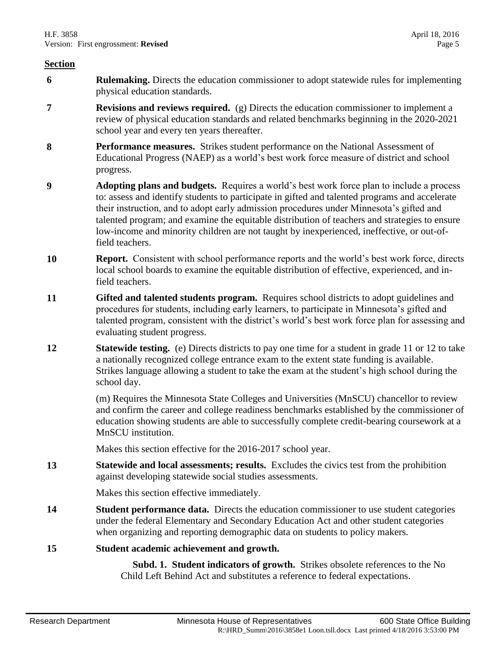- **6 Rulemaking.** Directs the education commissioner to adopt statewide rules for implementing physical education standards.
- **7 Revisions and reviews required.** (g) Directs the education commissioner to implement a review of physical education standards and related benchmarks beginning in the 2020-2021 school year and every ten years thereafter.
- **8 Performance measures.** Strikes student performance on the National Assessment of Educational Progress (NAEP) as a world's best work force measure of district and school progress.
- **9 Adopting plans and budgets.** Requires a world's best work force plan to include a process to: assess and identify students to participate in gifted and talented programs and accelerate their instruction, and to adopt early admission procedures under Minnesota's gifted and talented program; and examine the equitable distribution of teachers and strategies to ensure low-income and minority children are not taught by inexperienced, ineffective, or out-offield teachers.
- **10 Report.** Consistent with school performance reports and the world's best work force, directs local school boards to examine the equitable distribution of effective, experienced, and infield teachers.
- **11 Gifted and talented students program.** Requires school districts to adopt guidelines and procedures for students, including early learners, to participate in Minnesota's gifted and talented program, consistent with the district's world's best work force plan for assessing and evaluating student progress.
- **12 Statewide testing.** (e) Directs districts to pay one time for a student in grade 11 or 12 to take a nationally recognized college entrance exam to the extent state funding is available. Strikes language allowing a student to take the exam at the student's high school during the school day.

(m) Requires the Minnesota State Colleges and Universities (MnSCU) chancellor to review and confirm the career and college readiness benchmarks established by the commissioner of education showing students are able to successfully complete credit-bearing coursework at a MnSCU institution.

Makes this section effective for the 2016-2017 school year.

**13 Statewide and local assessments; results.** Excludes the civics test from the prohibition against developing statewide social studies assessments.

Makes this section effective immediately.

**14 Student performance data.** Directs the education commissioner to use student categories under the federal Elementary and Secondary Education Act and other student categories when organizing and reporting demographic data on students to policy makers.

#### **15 Student academic achievement and growth.**

 **Subd. 1. Student indicators of growth.** Strikes obsolete references to the No Child Left Behind Act and substitutes a reference to federal expectations.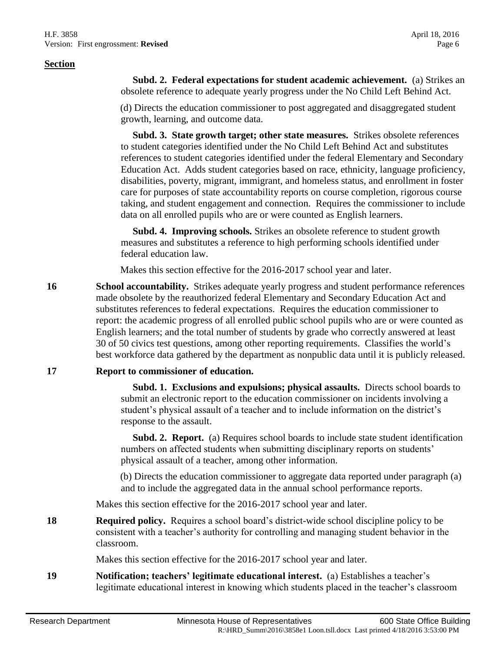**Subd. 2. Federal expectations for student academic achievement.** (a) Strikes an obsolete reference to adequate yearly progress under the No Child Left Behind Act.

(d) Directs the education commissioner to post aggregated and disaggregated student growth, learning, and outcome data.

 **Subd. 3. State growth target; other state measures.** Strikes obsolete references to student categories identified under the No Child Left Behind Act and substitutes references to student categories identified under the federal Elementary and Secondary Education Act. Adds student categories based on race, ethnicity, language proficiency, disabilities, poverty, migrant, immigrant, and homeless status, and enrollment in foster care for purposes of state accountability reports on course completion, rigorous course taking, and student engagement and connection. Requires the commissioner to include data on all enrolled pupils who are or were counted as English learners.

 **Subd. 4. Improving schools.** Strikes an obsolete reference to student growth measures and substitutes a reference to high performing schools identified under federal education law.

Makes this section effective for the 2016-2017 school year and later.

**16 School accountability.** Strikes adequate yearly progress and student performance references made obsolete by the reauthorized federal Elementary and Secondary Education Act and substitutes references to federal expectations. Requires the education commissioner to report: the academic progress of all enrolled public school pupils who are or were counted as English learners; and the total number of students by grade who correctly answered at least 30 of 50 civics test questions, among other reporting requirements. Classifies the world's best workforce data gathered by the department as nonpublic data until it is publicly released.

#### **17 Report to commissioner of education.**

 **Subd. 1. Exclusions and expulsions; physical assaults.** Directs school boards to submit an electronic report to the education commissioner on incidents involving a student's physical assault of a teacher and to include information on the district's response to the assault.

 **Subd. 2. Report.** (a) Requires school boards to include state student identification numbers on affected students when submitting disciplinary reports on students' physical assault of a teacher, among other information.

(b) Directs the education commissioner to aggregate data reported under paragraph (a) and to include the aggregated data in the annual school performance reports.

Makes this section effective for the 2016-2017 school year and later.

**18 Required policy.** Requires a school board's district-wide school discipline policy to be consistent with a teacher's authority for controlling and managing student behavior in the classroom.

Makes this section effective for the 2016-2017 school year and later.

**19 Notification; teachers' legitimate educational interest.** (a) Establishes a teacher's legitimate educational interest in knowing which students placed in the teacher's classroom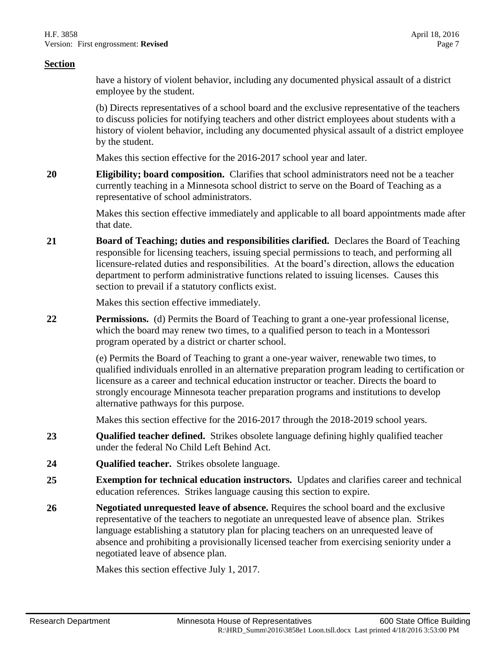have a history of violent behavior, including any documented physical assault of a district employee by the student.

(b) Directs representatives of a school board and the exclusive representative of the teachers to discuss policies for notifying teachers and other district employees about students with a history of violent behavior, including any documented physical assault of a district employee by the student.

Makes this section effective for the 2016-2017 school year and later.

**20 Eligibility; board composition.** Clarifies that school administrators need not be a teacher currently teaching in a Minnesota school district to serve on the Board of Teaching as a representative of school administrators.

> Makes this section effective immediately and applicable to all board appointments made after that date.

**21 Board of Teaching; duties and responsibilities clarified.** Declares the Board of Teaching responsible for licensing teachers, issuing special permissions to teach, and performing all licensure-related duties and responsibilities. At the board's direction, allows the education department to perform administrative functions related to issuing licenses. Causes this section to prevail if a statutory conflicts exist.

Makes this section effective immediately.

**22 Permissions.** (d) Permits the Board of Teaching to grant a one-year professional license, which the board may renew two times, to a qualified person to teach in a Montessori program operated by a district or charter school.

> (e) Permits the Board of Teaching to grant a one-year waiver, renewable two times, to qualified individuals enrolled in an alternative preparation program leading to certification or licensure as a career and technical education instructor or teacher. Directs the board to strongly encourage Minnesota teacher preparation programs and institutions to develop alternative pathways for this purpose.

Makes this section effective for the 2016-2017 through the 2018-2019 school years.

- **23 Qualified teacher defined.** Strikes obsolete language defining highly qualified teacher under the federal No Child Left Behind Act.
- **24 Qualified teacher.** Strikes obsolete language.
- **25 Exemption for technical education instructors.** Updates and clarifies career and technical education references. Strikes language causing this section to expire.
- **26 Negotiated unrequested leave of absence.** Requires the school board and the exclusive representative of the teachers to negotiate an unrequested leave of absence plan. Strikes language establishing a statutory plan for placing teachers on an unrequested leave of absence and prohibiting a provisionally licensed teacher from exercising seniority under a negotiated leave of absence plan.

Makes this section effective July 1, 2017.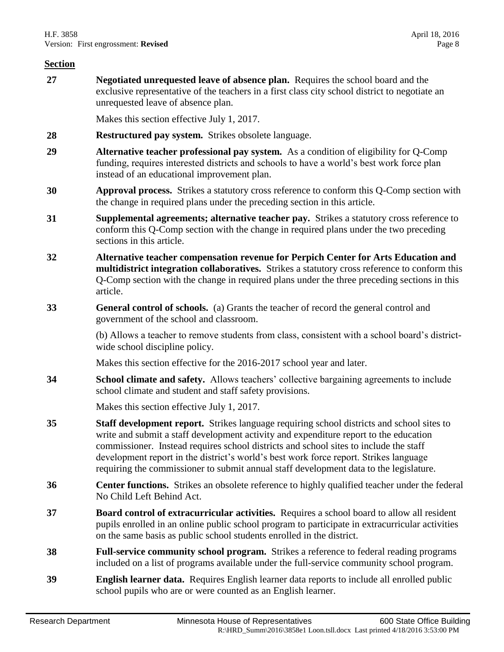**27 Negotiated unrequested leave of absence plan.** Requires the school board and the exclusive representative of the teachers in a first class city school district to negotiate an unrequested leave of absence plan.

Makes this section effective July 1, 2017.

- **28 Restructured pay system.** Strikes obsolete language.
- **29 Alternative teacher professional pay system.** As a condition of eligibility for Q-Comp funding, requires interested districts and schools to have a world's best work force plan instead of an educational improvement plan.
- **30 Approval process.** Strikes a statutory cross reference to conform this Q-Comp section with the change in required plans under the preceding section in this article.
- **31 Supplemental agreements; alternative teacher pay.** Strikes a statutory cross reference to conform this Q-Comp section with the change in required plans under the two preceding sections in this article.
- **32 Alternative teacher compensation revenue for Perpich Center for Arts Education and multidistrict integration collaboratives.** Strikes a statutory cross reference to conform this Q-Comp section with the change in required plans under the three preceding sections in this article.
- **33 General control of schools.** (a) Grants the teacher of record the general control and government of the school and classroom.

(b) Allows a teacher to remove students from class, consistent with a school board's districtwide school discipline policy.

Makes this section effective for the 2016-2017 school year and later.

**34 School climate and safety.** Allows teachers' collective bargaining agreements to include school climate and student and staff safety provisions.

Makes this section effective July 1, 2017.

- **35 Staff development report.** Strikes language requiring school districts and school sites to write and submit a staff development activity and expenditure report to the education commissioner. Instead requires school districts and school sites to include the staff development report in the district's world's best work force report. Strikes language requiring the commissioner to submit annual staff development data to the legislature.
- **36 Center functions.** Strikes an obsolete reference to highly qualified teacher under the federal No Child Left Behind Act.
- **37 Board control of extracurricular activities.** Requires a school board to allow all resident pupils enrolled in an online public school program to participate in extracurricular activities on the same basis as public school students enrolled in the district.
- **38 Full-service community school program.** Strikes a reference to federal reading programs included on a list of programs available under the full-service community school program.
- **39 English learner data.** Requires English learner data reports to include all enrolled public school pupils who are or were counted as an English learner.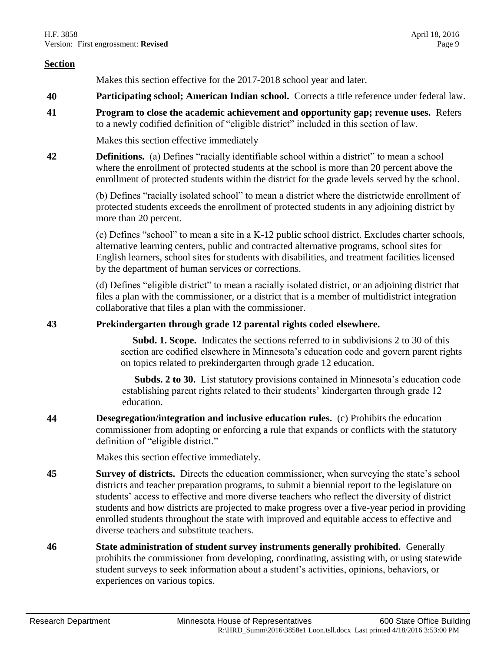Makes this section effective for the 2017-2018 school year and later.

- **40 Participating school; American Indian school.** Corrects a title reference under federal law.
- **41 Program to close the academic achievement and opportunity gap; revenue uses.** Refers to a newly codified definition of "eligible district" included in this section of law.

Makes this section effective immediately

**42 Definitions.** (a) Defines "racially identifiable school within a district" to mean a school where the enrollment of protected students at the school is more than 20 percent above the enrollment of protected students within the district for the grade levels served by the school.

> (b) Defines "racially isolated school" to mean a district where the districtwide enrollment of protected students exceeds the enrollment of protected students in any adjoining district by more than 20 percent.

(c) Defines "school" to mean a site in a K-12 public school district. Excludes charter schools, alternative learning centers, public and contracted alternative programs, school sites for English learners, school sites for students with disabilities, and treatment facilities licensed by the department of human services or corrections.

(d) Defines "eligible district" to mean a racially isolated district, or an adjoining district that files a plan with the commissioner, or a district that is a member of multidistrict integration collaborative that files a plan with the commissioner.

## **43 Prekindergarten through grade 12 parental rights coded elsewhere.**

 **Subd. 1. Scope.** Indicates the sections referred to in subdivisions 2 to 30 of this section are codified elsewhere in Minnesota's education code and govern parent rights on topics related to prekindergarten through grade 12 education.

 **Subds. 2 to 30.** List statutory provisions contained in Minnesota's education code establishing parent rights related to their students' kindergarten through grade 12 education.

**44 Desegregation/integration and inclusive education rules.** (c) Prohibits the education commissioner from adopting or enforcing a rule that expands or conflicts with the statutory definition of "eligible district."

Makes this section effective immediately.

- **45 Survey of districts.** Directs the education commissioner, when surveying the state's school districts and teacher preparation programs, to submit a biennial report to the legislature on students' access to effective and more diverse teachers who reflect the diversity of district students and how districts are projected to make progress over a five-year period in providing enrolled students throughout the state with improved and equitable access to effective and diverse teachers and substitute teachers.
- **46 State administration of student survey instruments generally prohibited.** Generally prohibits the commissioner from developing, coordinating, assisting with, or using statewide student surveys to seek information about a student's activities, opinions, behaviors, or experiences on various topics.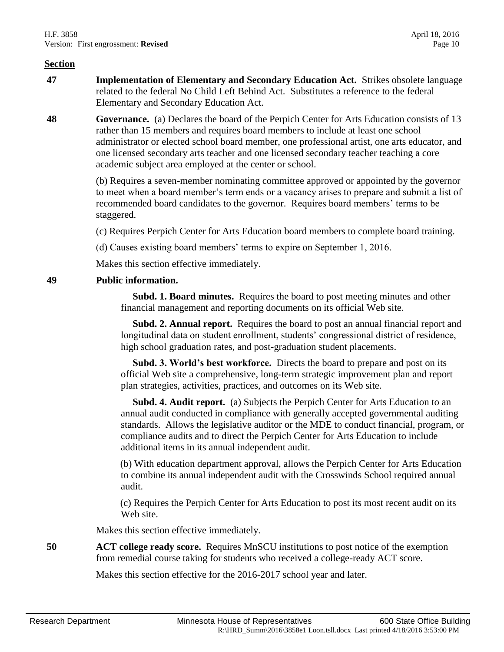- **47 Implementation of Elementary and Secondary Education Act.** Strikes obsolete language related to the federal No Child Left Behind Act. Substitutes a reference to the federal Elementary and Secondary Education Act.
- **48 Governance.** (a) Declares the board of the Perpich Center for Arts Education consists of 13 rather than 15 members and requires board members to include at least one school administrator or elected school board member, one professional artist, one arts educator, and one licensed secondary arts teacher and one licensed secondary teacher teaching a core academic subject area employed at the center or school.

(b) Requires a seven-member nominating committee approved or appointed by the governor to meet when a board member's term ends or a vacancy arises to prepare and submit a list of recommended board candidates to the governor. Requires board members' terms to be staggered.

(c) Requires Perpich Center for Arts Education board members to complete board training.

(d) Causes existing board members' terms to expire on September 1, 2016.

Makes this section effective immediately.

## **49 Public information.**

 **Subd. 1. Board minutes.** Requires the board to post meeting minutes and other financial management and reporting documents on its official Web site.

 **Subd. 2. Annual report.** Requires the board to post an annual financial report and longitudinal data on student enrollment, students' congressional district of residence, high school graduation rates, and post-graduation student placements.

 **Subd. 3. World's best workforce.** Directs the board to prepare and post on its official Web site a comprehensive, long-term strategic improvement plan and report plan strategies, activities, practices, and outcomes on its Web site.

**Subd. 4. Audit report.** (a) Subjects the Perpich Center for Arts Education to an annual audit conducted in compliance with generally accepted governmental auditing standards. Allows the legislative auditor or the MDE to conduct financial, program, or compliance audits and to direct the Perpich Center for Arts Education to include additional items in its annual independent audit.

(b) With education department approval, allows the Perpich Center for Arts Education to combine its annual independent audit with the Crosswinds School required annual audit.

(c) Requires the Perpich Center for Arts Education to post its most recent audit on its Web site.

Makes this section effective immediately.

**50 ACT college ready score.** Requires MnSCU institutions to post notice of the exemption from remedial course taking for students who received a college-ready ACT score.

Makes this section effective for the 2016-2017 school year and later.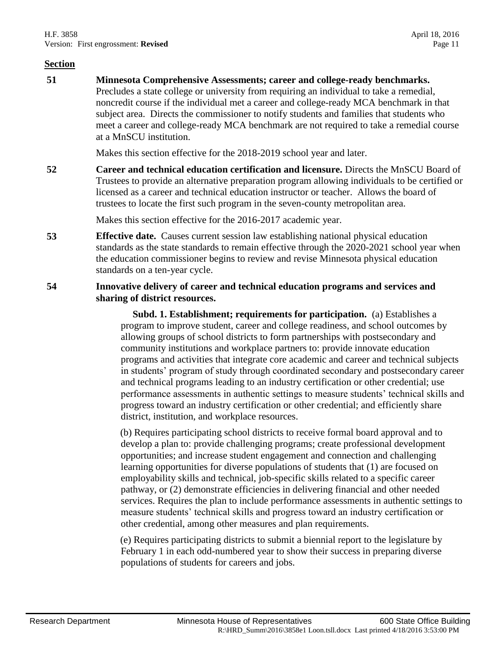**51 Minnesota Comprehensive Assessments; career and college-ready benchmarks.** Precludes a state college or university from requiring an individual to take a remedial, noncredit course if the individual met a career and college-ready MCA benchmark in that subject area. Directs the commissioner to notify students and families that students who meet a career and college-ready MCA benchmark are not required to take a remedial course at a MnSCU institution.

Makes this section effective for the 2018-2019 school year and later.

**52 Career and technical education certification and licensure.** Directs the MnSCU Board of Trustees to provide an alternative preparation program allowing individuals to be certified or licensed as a career and technical education instructor or teacher. Allows the board of trustees to locate the first such program in the seven-county metropolitan area.

Makes this section effective for the 2016-2017 academic year.

**53 Effective date.** Causes current session law establishing national physical education standards as the state standards to remain effective through the 2020-2021 school year when the education commissioner begins to review and revise Minnesota physical education standards on a ten-year cycle.

### **54 Innovative delivery of career and technical education programs and services and sharing of district resources.**

 **Subd. 1. Establishment; requirements for participation.** (a) Establishes a program to improve student, career and college readiness, and school outcomes by allowing groups of school districts to form partnerships with postsecondary and community institutions and workplace partners to: provide innovate education programs and activities that integrate core academic and career and technical subjects in students' program of study through coordinated secondary and postsecondary career and technical programs leading to an industry certification or other credential; use performance assessments in authentic settings to measure students' technical skills and progress toward an industry certification or other credential; and efficiently share district, institution, and workplace resources.

(b) Requires participating school districts to receive formal board approval and to develop a plan to: provide challenging programs; create professional development opportunities; and increase student engagement and connection and challenging learning opportunities for diverse populations of students that (1) are focused on employability skills and technical, job-specific skills related to a specific career pathway, or (2) demonstrate efficiencies in delivering financial and other needed services. Requires the plan to include performance assessments in authentic settings to measure students' technical skills and progress toward an industry certification or other credential, among other measures and plan requirements.

(e) Requires participating districts to submit a biennial report to the legislature by February 1 in each odd-numbered year to show their success in preparing diverse populations of students for careers and jobs.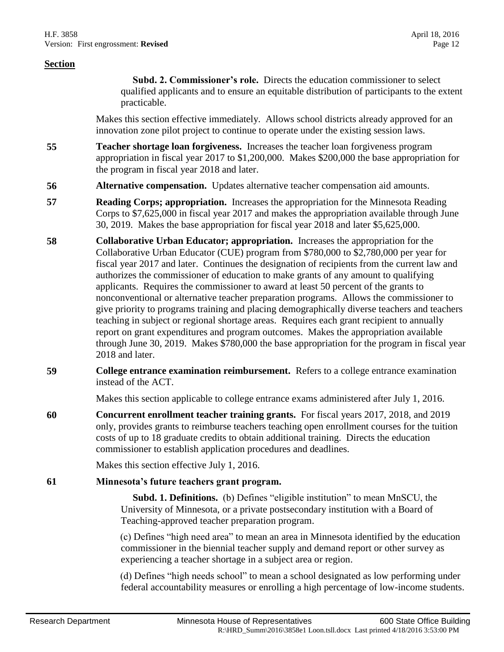**Subd. 2. Commissioner's role.** Directs the education commissioner to select qualified applicants and to ensure an equitable distribution of participants to the extent practicable.

Makes this section effective immediately. Allows school districts already approved for an innovation zone pilot project to continue to operate under the existing session laws.

- **55 Teacher shortage loan forgiveness.** Increases the teacher loan forgiveness program appropriation in fiscal year 2017 to \$1,200,000. Makes \$200,000 the base appropriation for the program in fiscal year 2018 and later.
- **56 Alternative compensation.** Updates alternative teacher compensation aid amounts.
- **57 Reading Corps; appropriation.** Increases the appropriation for the Minnesota Reading Corps to \$7,625,000 in fiscal year 2017 and makes the appropriation available through June 30, 2019. Makes the base appropriation for fiscal year 2018 and later \$5,625,000.
- **58 Collaborative Urban Educator; appropriation.** Increases the appropriation for the Collaborative Urban Educator (CUE) program from \$780,000 to \$2,780,000 per year for fiscal year 2017 and later. Continues the designation of recipients from the current law and authorizes the commissioner of education to make grants of any amount to qualifying applicants. Requires the commissioner to award at least 50 percent of the grants to nonconventional or alternative teacher preparation programs. Allows the commissioner to give priority to programs training and placing demographically diverse teachers and teachers teaching in subject or regional shortage areas. Requires each grant recipient to annually report on grant expenditures and program outcomes. Makes the appropriation available through June 30, 2019. Makes \$780,000 the base appropriation for the program in fiscal year 2018 and later.
- **59 College entrance examination reimbursement.** Refers to a college entrance examination instead of the ACT.

Makes this section applicable to college entrance exams administered after July 1, 2016.

**60 Concurrent enrollment teacher training grants.** For fiscal years 2017, 2018, and 2019 only, provides grants to reimburse teachers teaching open enrollment courses for the tuition costs of up to 18 graduate credits to obtain additional training. Directs the education commissioner to establish application procedures and deadlines.

Makes this section effective July 1, 2016.

#### **61 Minnesota's future teachers grant program.**

 **Subd. 1. Definitions.** (b) Defines "eligible institution" to mean MnSCU, the University of Minnesota, or a private postsecondary institution with a Board of Teaching-approved teacher preparation program.

(c) Defines "high need area" to mean an area in Minnesota identified by the education commissioner in the biennial teacher supply and demand report or other survey as experiencing a teacher shortage in a subject area or region.

(d) Defines "high needs school" to mean a school designated as low performing under federal accountability measures or enrolling a high percentage of low-income students.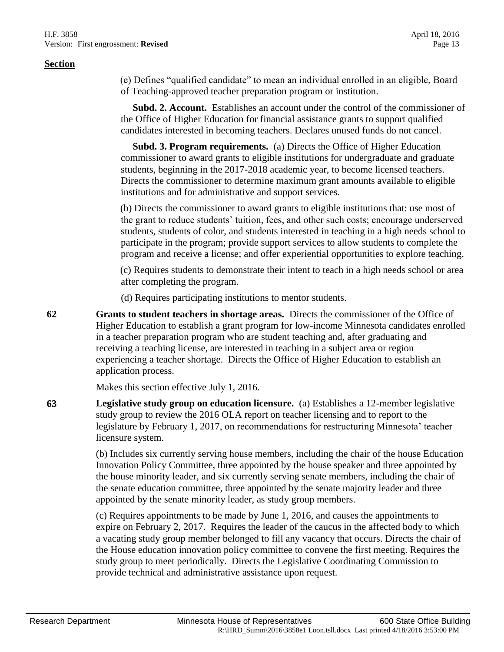(e) Defines "qualified candidate" to mean an individual enrolled in an eligible, Board of Teaching-approved teacher preparation program or institution.

 **Subd. 2. Account.** Establishes an account under the control of the commissioner of the Office of Higher Education for financial assistance grants to support qualified candidates interested in becoming teachers. Declares unused funds do not cancel.

 **Subd. 3. Program requirements.** (a) Directs the Office of Higher Education commissioner to award grants to eligible institutions for undergraduate and graduate students, beginning in the 2017-2018 academic year, to become licensed teachers. Directs the commissioner to determine maximum grant amounts available to eligible institutions and for administrative and support services.

(b) Directs the commissioner to award grants to eligible institutions that: use most of the grant to reduce students' tuition, fees, and other such costs; encourage underserved students, students of color, and students interested in teaching in a high needs school to participate in the program; provide support services to allow students to complete the program and receive a license; and offer experiential opportunities to explore teaching.

(c) Requires students to demonstrate their intent to teach in a high needs school or area after completing the program.

(d) Requires participating institutions to mentor students.

**62 Grants to student teachers in shortage areas.** Directs the commissioner of the Office of Higher Education to establish a grant program for low-income Minnesota candidates enrolled in a teacher preparation program who are student teaching and, after graduating and receiving a teaching license, are interested in teaching in a subject area or region experiencing a teacher shortage. Directs the Office of Higher Education to establish an application process.

Makes this section effective July 1, 2016.

**63 Legislative study group on education licensure.** (a) Establishes a 12-member legislative study group to review the 2016 OLA report on teacher licensing and to report to the legislature by February 1, 2017, on recommendations for restructuring Minnesota' teacher licensure system.

> (b) Includes six currently serving house members, including the chair of the house Education Innovation Policy Committee, three appointed by the house speaker and three appointed by the house minority leader, and six currently serving senate members, including the chair of the senate education committee, three appointed by the senate majority leader and three appointed by the senate minority leader, as study group members.

> (c) Requires appointments to be made by June 1, 2016, and causes the appointments to expire on February 2, 2017. Requires the leader of the caucus in the affected body to which a vacating study group member belonged to fill any vacancy that occurs. Directs the chair of the House education innovation policy committee to convene the first meeting. Requires the study group to meet periodically. Directs the Legislative Coordinating Commission to provide technical and administrative assistance upon request.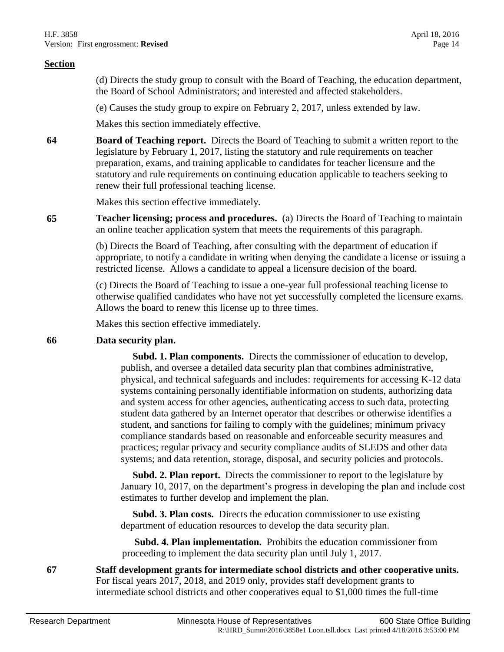(d) Directs the study group to consult with the Board of Teaching, the education department, the Board of School Administrators; and interested and affected stakeholders.

(e) Causes the study group to expire on February 2, 2017, unless extended by law.

Makes this section immediately effective.

**64 Board of Teaching report.** Directs the Board of Teaching to submit a written report to the legislature by February 1, 2017, listing the statutory and rule requirements on teacher preparation, exams, and training applicable to candidates for teacher licensure and the statutory and rule requirements on continuing education applicable to teachers seeking to renew their full professional teaching license.

Makes this section effective immediately.

**65 Teacher licensing; process and procedures.** (a) Directs the Board of Teaching to maintain an online teacher application system that meets the requirements of this paragraph.

> (b) Directs the Board of Teaching, after consulting with the department of education if appropriate, to notify a candidate in writing when denying the candidate a license or issuing a restricted license. Allows a candidate to appeal a licensure decision of the board.

> (c) Directs the Board of Teaching to issue a one-year full professional teaching license to otherwise qualified candidates who have not yet successfully completed the licensure exams. Allows the board to renew this license up to three times.

Makes this section effective immediately.

#### **66 Data security plan.**

 **Subd. 1. Plan components.** Directs the commissioner of education to develop, publish, and oversee a detailed data security plan that combines administrative, physical, and technical safeguards and includes: requirements for accessing K-12 data systems containing personally identifiable information on students, authorizing data and system access for other agencies, authenticating access to such data, protecting student data gathered by an Internet operator that describes or otherwise identifies a student, and sanctions for failing to comply with the guidelines; minimum privacy compliance standards based on reasonable and enforceable security measures and practices; regular privacy and security compliance audits of SLEDS and other data systems; and data retention, storage, disposal, and security policies and protocols.

 **Subd. 2. Plan report.** Directs the commissioner to report to the legislature by January 10, 2017, on the department's progress in developing the plan and include cost estimates to further develop and implement the plan.

 **Subd. 3. Plan costs.** Directs the education commissioner to use existing department of education resources to develop the data security plan.

 **Subd. 4. Plan implementation.** Prohibits the education commissioner from proceeding to implement the data security plan until July 1, 2017.

**67 Staff development grants for intermediate school districts and other cooperative units.** For fiscal years 2017, 2018, and 2019 only, provides staff development grants to intermediate school districts and other cooperatives equal to \$1,000 times the full-time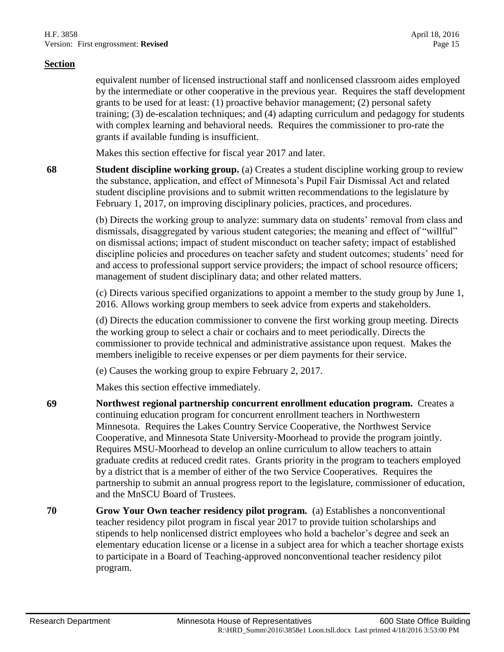equivalent number of licensed instructional staff and nonlicensed classroom aides employed by the intermediate or other cooperative in the previous year. Requires the staff development grants to be used for at least: (1) proactive behavior management; (2) personal safety training; (3) de-escalation techniques; and (4) adapting curriculum and pedagogy for students with complex learning and behavioral needs. Requires the commissioner to pro-rate the grants if available funding is insufficient.

Makes this section effective for fiscal year 2017 and later.

**68 Student discipline working group.** (a) Creates a student discipline working group to review the substance, application, and effect of Minnesota's Pupil Fair Dismissal Act and related student discipline provisions and to submit written recommendations to the legislature by February 1, 2017, on improving disciplinary policies, practices, and procedures.

> (b) Directs the working group to analyze: summary data on students' removal from class and dismissals, disaggregated by various student categories; the meaning and effect of "willful" on dismissal actions; impact of student misconduct on teacher safety; impact of established discipline policies and procedures on teacher safety and student outcomes; students' need for and access to professional support service providers; the impact of school resource officers; management of student disciplinary data; and other related matters.

> (c) Directs various specified organizations to appoint a member to the study group by June 1, 2016. Allows working group members to seek advice from experts and stakeholders.

(d) Directs the education commissioner to convene the first working group meeting. Directs the working group to select a chair or cochairs and to meet periodically. Directs the commissioner to provide technical and administrative assistance upon request. Makes the members ineligible to receive expenses or per diem payments for their service.

(e) Causes the working group to expire February 2, 2017.

Makes this section effective immediately.

- **69 Northwest regional partnership concurrent enrollment education program.** Creates a continuing education program for concurrent enrollment teachers in Northwestern Minnesota. Requires the Lakes Country Service Cooperative, the Northwest Service Cooperative, and Minnesota State University-Moorhead to provide the program jointly. Requires MSU-Moorhead to develop an online curriculum to allow teachers to attain graduate credits at reduced credit rates. Grants priority in the program to teachers employed by a district that is a member of either of the two Service Cooperatives. Requires the partnership to submit an annual progress report to the legislature, commissioner of education, and the MnSCU Board of Trustees.
- **70 Grow Your Own teacher residency pilot program.** (a) Establishes a nonconventional teacher residency pilot program in fiscal year 2017 to provide tuition scholarships and stipends to help nonlicensed district employees who hold a bachelor's degree and seek an elementary education license or a license in a subject area for which a teacher shortage exists to participate in a Board of Teaching-approved nonconventional teacher residency pilot program.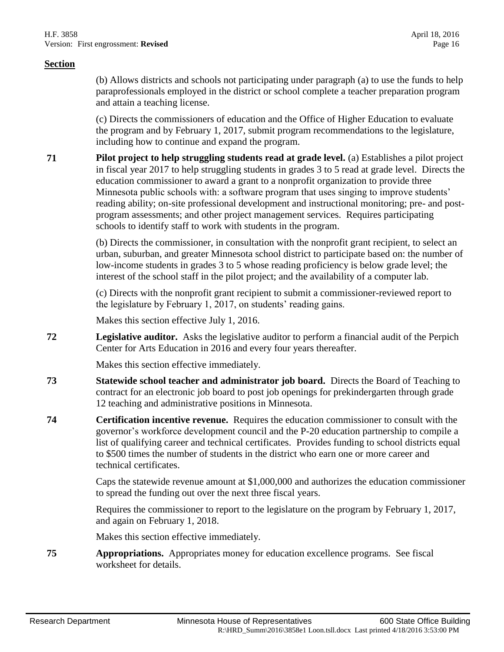(b) Allows districts and schools not participating under paragraph (a) to use the funds to help paraprofessionals employed in the district or school complete a teacher preparation program and attain a teaching license.

(c) Directs the commissioners of education and the Office of Higher Education to evaluate the program and by February 1, 2017, submit program recommendations to the legislature, including how to continue and expand the program.

**71 Pilot project to help struggling students read at grade level.** (a) Establishes a pilot project in fiscal year 2017 to help struggling students in grades 3 to 5 read at grade level. Directs the education commissioner to award a grant to a nonprofit organization to provide three Minnesota public schools with: a software program that uses singing to improve students' reading ability; on-site professional development and instructional monitoring; pre- and postprogram assessments; and other project management services. Requires participating schools to identify staff to work with students in the program.

> (b) Directs the commissioner, in consultation with the nonprofit grant recipient, to select an urban, suburban, and greater Minnesota school district to participate based on: the number of low-income students in grades 3 to 5 whose reading proficiency is below grade level; the interest of the school staff in the pilot project; and the availability of a computer lab.

(c) Directs with the nonprofit grant recipient to submit a commissioner-reviewed report to the legislature by February 1, 2017, on students' reading gains.

Makes this section effective July 1, 2016.

**72 Legislative auditor.** Asks the legislative auditor to perform a financial audit of the Perpich Center for Arts Education in 2016 and every four years thereafter.

Makes this section effective immediately.

- **73 Statewide school teacher and administrator job board.** Directs the Board of Teaching to contract for an electronic job board to post job openings for prekindergarten through grade 12 teaching and administrative positions in Minnesota.
- **74 Certification incentive revenue.** Requires the education commissioner to consult with the governor's workforce development council and the P-20 education partnership to compile a list of qualifying career and technical certificates. Provides funding to school districts equal to \$500 times the number of students in the district who earn one or more career and technical certificates.

Caps the statewide revenue amount at \$1,000,000 and authorizes the education commissioner to spread the funding out over the next three fiscal years.

Requires the commissioner to report to the legislature on the program by February 1, 2017, and again on February 1, 2018.

Makes this section effective immediately.

**75 Appropriations.** Appropriates money for education excellence programs. See fiscal worksheet for details.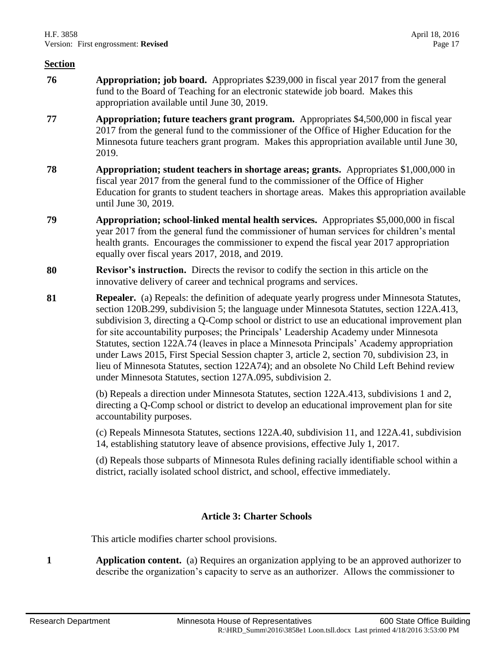- **76 Appropriation; job board.** Appropriates \$239,000 in fiscal year 2017 from the general fund to the Board of Teaching for an electronic statewide job board. Makes this appropriation available until June 30, 2019.
- **77 Appropriation; future teachers grant program.** Appropriates \$4,500,000 in fiscal year 2017 from the general fund to the commissioner of the Office of Higher Education for the Minnesota future teachers grant program. Makes this appropriation available until June 30, 2019.
- **78 Appropriation; student teachers in shortage areas; grants.** Appropriates \$1,000,000 in fiscal year 2017 from the general fund to the commissioner of the Office of Higher Education for grants to student teachers in shortage areas. Makes this appropriation available until June 30, 2019.
- **79 Appropriation; school-linked mental health services.** Appropriates \$5,000,000 in fiscal year 2017 from the general fund the commissioner of human services for children's mental health grants. Encourages the commissioner to expend the fiscal year 2017 appropriation equally over fiscal years 2017, 2018, and 2019.
- **80 Revisor's instruction.** Directs the revisor to codify the section in this article on the innovative delivery of career and technical programs and services.
- **81 Repealer.** (a) Repeals: the definition of adequate yearly progress under Minnesota Statutes, section 120B.299, subdivision 5; the language under Minnesota Statutes, section 122A.413, subdivision 3, directing a Q-Comp school or district to use an educational improvement plan for site accountability purposes; the Principals' Leadership Academy under Minnesota Statutes, section 122A.74 (leaves in place a Minnesota Principals' Academy appropriation under Laws 2015, First Special Session chapter 3, article 2, section 70, subdivision 23, in lieu of Minnesota Statutes, section 122A74); and an obsolete No Child Left Behind review under Minnesota Statutes, section 127A.095, subdivision 2.

(b) Repeals a direction under Minnesota Statutes, section 122A.413, subdivisions 1 and 2, directing a Q-Comp school or district to develop an educational improvement plan for site accountability purposes.

(c) Repeals Minnesota Statutes, sections 122A.40, subdivision 11, and 122A.41, subdivision 14, establishing statutory leave of absence provisions, effective July 1, 2017.

(d) Repeals those subparts of Minnesota Rules defining racially identifiable school within a district, racially isolated school district, and school, effective immediately.

# **Article 3: Charter Schools**

This article modifies charter school provisions.

**1 Application content.** (a) Requires an organization applying to be an approved authorizer to describe the organization's capacity to serve as an authorizer. Allows the commissioner to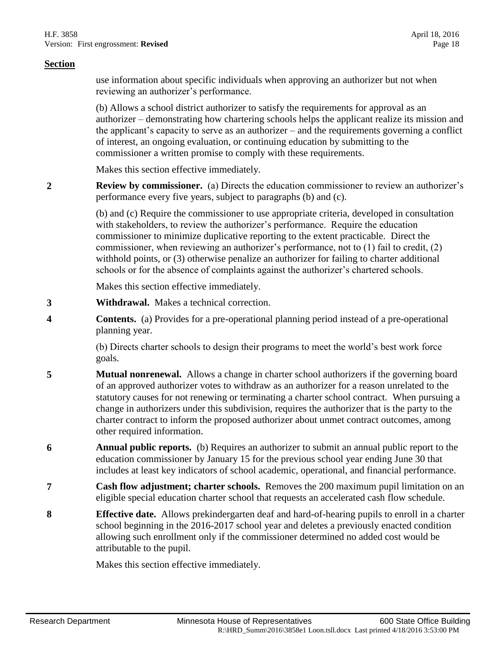use information about specific individuals when approving an authorizer but not when reviewing an authorizer's performance.

(b) Allows a school district authorizer to satisfy the requirements for approval as an authorizer – demonstrating how chartering schools helps the applicant realize its mission and the applicant's capacity to serve as an authorizer – and the requirements governing a conflict of interest, an ongoing evaluation, or continuing education by submitting to the commissioner a written promise to comply with these requirements.

Makes this section effective immediately.

**2 Review by commissioner.** (a) Directs the education commissioner to review an authorizer's performance every five years, subject to paragraphs (b) and (c).

> (b) and (c) Require the commissioner to use appropriate criteria, developed in consultation with stakeholders, to review the authorizer's performance. Require the education commissioner to minimize duplicative reporting to the extent practicable. Direct the commissioner, when reviewing an authorizer's performance, not to (1) fail to credit, (2) withhold points, or (3) otherwise penalize an authorizer for failing to charter additional schools or for the absence of complaints against the authorizer's chartered schools.

Makes this section effective immediately.

- **3 Withdrawal.** Makes a technical correction.
- **4 Contents.** (a) Provides for a pre-operational planning period instead of a pre-operational planning year.

(b) Directs charter schools to design their programs to meet the world's best work force goals.

- **5 Mutual nonrenewal.** Allows a change in charter school authorizers if the governing board of an approved authorizer votes to withdraw as an authorizer for a reason unrelated to the statutory causes for not renewing or terminating a charter school contract. When pursuing a change in authorizers under this subdivision, requires the authorizer that is the party to the charter contract to inform the proposed authorizer about unmet contract outcomes, among other required information.
- **6 Annual public reports.** (b) Requires an authorizer to submit an annual public report to the education commissioner by January 15 for the previous school year ending June 30 that includes at least key indicators of school academic, operational, and financial performance.
- **7 Cash flow adjustment; charter schools.** Removes the 200 maximum pupil limitation on an eligible special education charter school that requests an accelerated cash flow schedule.
- **8 Effective date.** Allows prekindergarten deaf and hard-of-hearing pupils to enroll in a charter school beginning in the 2016-2017 school year and deletes a previously enacted condition allowing such enrollment only if the commissioner determined no added cost would be attributable to the pupil.

Makes this section effective immediately.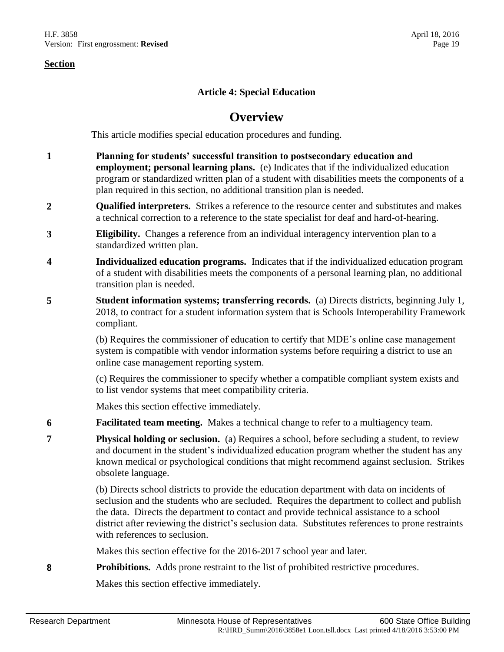## **Article 4: Special Education**

# **Overview**

This article modifies special education procedures and funding.

- **1 Planning for students' successful transition to postsecondary education and employment; personal learning plans.** (e) Indicates that if the individualized education program or standardized written plan of a student with disabilities meets the components of a plan required in this section, no additional transition plan is needed.
- **2 Qualified interpreters.** Strikes a reference to the resource center and substitutes and makes a technical correction to a reference to the state specialist for deaf and hard-of-hearing.
- **3 Eligibility.** Changes a reference from an individual interagency intervention plan to a standardized written plan.
- **4 Individualized education programs.** Indicates that if the individualized education program of a student with disabilities meets the components of a personal learning plan, no additional transition plan is needed.
- **5 Student information systems; transferring records.** (a) Directs districts, beginning July 1, 2018, to contract for a student information system that is Schools Interoperability Framework compliant.

(b) Requires the commissioner of education to certify that MDE's online case management system is compatible with vendor information systems before requiring a district to use an online case management reporting system.

(c) Requires the commissioner to specify whether a compatible compliant system exists and to list vendor systems that meet compatibility criteria.

Makes this section effective immediately.

- **6 Facilitated team meeting.** Makes a technical change to refer to a multiagency team.
- **7 Physical holding or seclusion.** (a) Requires a school, before secluding a student, to review and document in the student's individualized education program whether the student has any known medical or psychological conditions that might recommend against seclusion. Strikes obsolete language.

(b) Directs school districts to provide the education department with data on incidents of seclusion and the students who are secluded. Requires the department to collect and publish the data. Directs the department to contact and provide technical assistance to a school district after reviewing the district's seclusion data. Substitutes references to prone restraints with references to seclusion.

Makes this section effective for the 2016-2017 school year and later.

**8 Prohibitions.** Adds prone restraint to the list of prohibited restrictive procedures.

Makes this section effective immediately.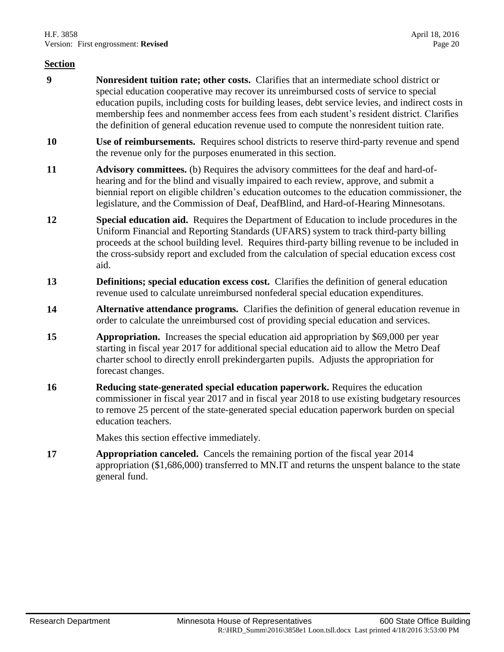- **9 Nonresident tuition rate; other costs.** Clarifies that an intermediate school district or special education cooperative may recover its unreimbursed costs of service to special education pupils, including costs for building leases, debt service levies, and indirect costs in membership fees and nonmember access fees from each student's resident district. Clarifies the definition of general education revenue used to compute the nonresident tuition rate.
- **10 Use of reimbursements.** Requires school districts to reserve third-party revenue and spend the revenue only for the purposes enumerated in this section.
- **11 Advisory committees.** (b) Requires the advisory committees for the deaf and hard-ofhearing and for the blind and visually impaired to each review, approve, and submit a biennial report on eligible children's education outcomes to the education commissioner, the legislature, and the Commission of Deaf, DeafBlind, and Hard-of-Hearing Minnesotans.
- **12 Special education aid.** Requires the Department of Education to include procedures in the Uniform Financial and Reporting Standards (UFARS) system to track third-party billing proceeds at the school building level. Requires third-party billing revenue to be included in the cross-subsidy report and excluded from the calculation of special education excess cost aid.
- **13 Definitions; special education excess cost.** Clarifies the definition of general education revenue used to calculate unreimbursed nonfederal special education expenditures.
- **14 Alternative attendance programs.** Clarifies the definition of general education revenue in order to calculate the unreimbursed cost of providing special education and services.
- **15 Appropriation.** Increases the special education aid appropriation by \$69,000 per year starting in fiscal year 2017 for additional special education aid to allow the Metro Deaf charter school to directly enroll prekindergarten pupils. Adjusts the appropriation for forecast changes.
- **16 Reducing state-generated special education paperwork.** Requires the education commissioner in fiscal year 2017 and in fiscal year 2018 to use existing budgetary resources to remove 25 percent of the state-generated special education paperwork burden on special education teachers.

Makes this section effective immediately.

**17 Appropriation canceled.** Cancels the remaining portion of the fiscal year 2014 appropriation (\$1,686,000) transferred to MN.IT and returns the unspent balance to the state general fund.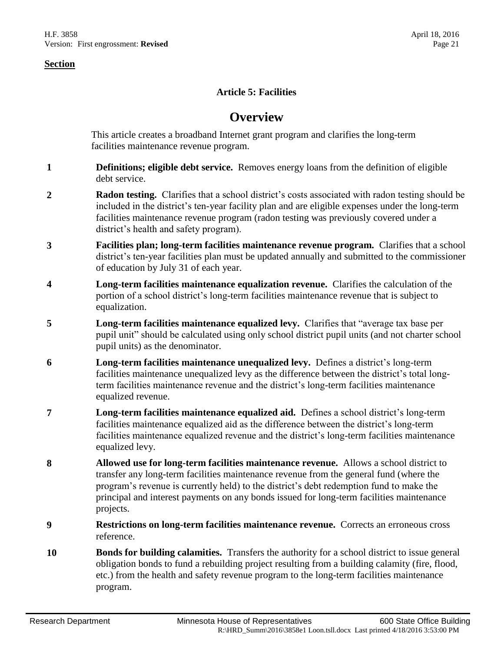## **Article 5: Facilities**

# **Overview**

This article creates a broadband Internet grant program and clarifies the long-term facilities maintenance revenue program.

- **1 Definitions; eligible debt service.** Removes energy loans from the definition of eligible debt service.
- **2 Radon testing.** Clarifies that a school district's costs associated with radon testing should be included in the district's ten-year facility plan and are eligible expenses under the long-term facilities maintenance revenue program (radon testing was previously covered under a district's health and safety program).
- **3 Facilities plan; long-term facilities maintenance revenue program.** Clarifies that a school district's ten-year facilities plan must be updated annually and submitted to the commissioner of education by July 31 of each year.
- **4 Long-term facilities maintenance equalization revenue.** Clarifies the calculation of the portion of a school district's long-term facilities maintenance revenue that is subject to equalization.
- **5 Long-term facilities maintenance equalized levy.** Clarifies that "average tax base per pupil unit" should be calculated using only school district pupil units (and not charter school pupil units) as the denominator.
- **6 Long-term facilities maintenance unequalized levy.** Defines a district's long-term facilities maintenance unequalized levy as the difference between the district's total longterm facilities maintenance revenue and the district's long-term facilities maintenance equalized revenue.
- **7 Long-term facilities maintenance equalized aid.** Defines a school district's long-term facilities maintenance equalized aid as the difference between the district's long-term facilities maintenance equalized revenue and the district's long-term facilities maintenance equalized levy.
- **8 Allowed use for long-term facilities maintenance revenue.** Allows a school district to transfer any long-term facilities maintenance revenue from the general fund (where the program's revenue is currently held) to the district's debt redemption fund to make the principal and interest payments on any bonds issued for long-term facilities maintenance projects.
- **9 Restrictions on long-term facilities maintenance revenue.** Corrects an erroneous cross reference.
- **10 Bonds for building calamities.** Transfers the authority for a school district to issue general obligation bonds to fund a rebuilding project resulting from a building calamity (fire, flood, etc.) from the health and safety revenue program to the long-term facilities maintenance program.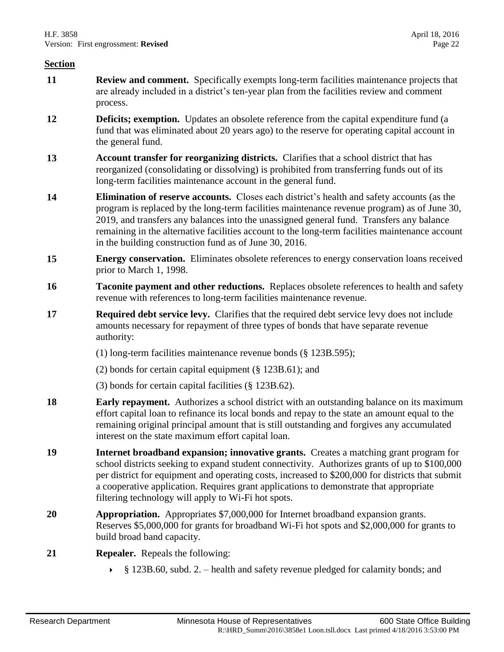- **11 Review and comment.** Specifically exempts long-term facilities maintenance projects that are already included in a district's ten-year plan from the facilities review and comment process.
- **12 Deficits; exemption.** Updates an obsolete reference from the capital expenditure fund (a fund that was eliminated about 20 years ago) to the reserve for operating capital account in the general fund.
- **13 Account transfer for reorganizing districts.** Clarifies that a school district that has reorganized (consolidating or dissolving) is prohibited from transferring funds out of its long-term facilities maintenance account in the general fund.
- **14 Elimination of reserve accounts.** Closes each district's health and safety accounts (as the program is replaced by the long-term facilities maintenance revenue program) as of June 30, 2019, and transfers any balances into the unassigned general fund. Transfers any balance remaining in the alternative facilities account to the long-term facilities maintenance account in the building construction fund as of June 30, 2016.
- **15 Energy conservation.** Eliminates obsolete references to energy conservation loans received prior to March 1, 1998.
- **16 Taconite payment and other reductions.** Replaces obsolete references to health and safety revenue with references to long-term facilities maintenance revenue.
- **17 Required debt service levy.** Clarifies that the required debt service levy does not include amounts necessary for repayment of three types of bonds that have separate revenue authority:
	- (1) long-term facilities maintenance revenue bonds (§ 123B.595);
	- (2) bonds for certain capital equipment (§ 123B.61); and
	- (3) bonds for certain capital facilities (§ 123B.62).
- **18 Early repayment.** Authorizes a school district with an outstanding balance on its maximum effort capital loan to refinance its local bonds and repay to the state an amount equal to the remaining original principal amount that is still outstanding and forgives any accumulated interest on the state maximum effort capital loan.
- **19 Internet broadband expansion; innovative grants.** Creates a matching grant program for school districts seeking to expand student connectivity. Authorizes grants of up to \$100,000 per district for equipment and operating costs, increased to \$200,000 for districts that submit a cooperative application. Requires grant applications to demonstrate that appropriate filtering technology will apply to Wi-Fi hot spots.
- **20 Appropriation.** Appropriates \$7,000,000 for Internet broadband expansion grants. Reserves \$5,000,000 for grants for broadband Wi-Fi hot spots and \$2,000,000 for grants to build broad band capacity.
- **21 Repealer.** Repeals the following:
	- § 123B.60, subd. 2. health and safety revenue pledged for calamity bonds; and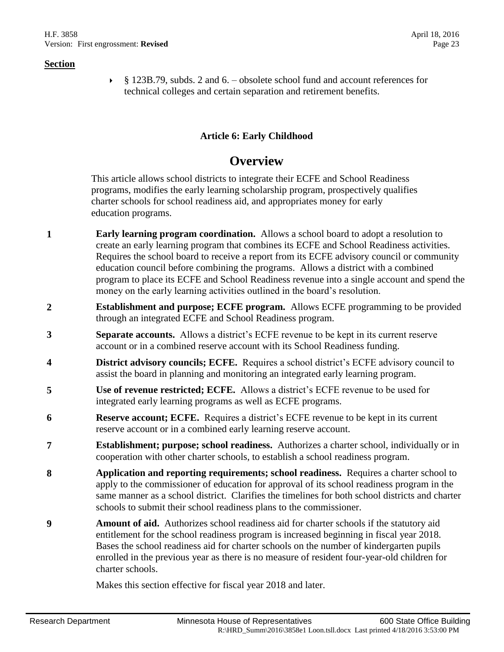§ 123B.79, subds. 2 and 6. – obsolete school fund and account references for technical colleges and certain separation and retirement benefits.

# **Article 6: Early Childhood**

# **Overview**

This article allows school districts to integrate their ECFE and School Readiness programs, modifies the early learning scholarship program, prospectively qualifies charter schools for school readiness aid, and appropriates money for early education programs.

- **1 Early learning program coordination.** Allows a school board to adopt a resolution to create an early learning program that combines its ECFE and School Readiness activities. Requires the school board to receive a report from its ECFE advisory council or community education council before combining the programs. Allows a district with a combined program to place its ECFE and School Readiness revenue into a single account and spend the money on the early learning activities outlined in the board's resolution.
- **2 Establishment and purpose; ECFE program.** Allows ECFE programming to be provided through an integrated ECFE and School Readiness program.
- **3 Separate accounts.** Allows a district's ECFE revenue to be kept in its current reserve account or in a combined reserve account with its School Readiness funding.
- **4 District advisory councils; ECFE.** Requires a school district's ECFE advisory council to assist the board in planning and monitoring an integrated early learning program.
- **5 Use of revenue restricted; ECFE.** Allows a district's ECFE revenue to be used for integrated early learning programs as well as ECFE programs.
- **6 Reserve account; ECFE.** Requires a district's ECFE revenue to be kept in its current reserve account or in a combined early learning reserve account.
- **7 Establishment; purpose; school readiness.** Authorizes a charter school, individually or in cooperation with other charter schools, to establish a school readiness program.
- **8 Application and reporting requirements; school readiness.** Requires a charter school to apply to the commissioner of education for approval of its school readiness program in the same manner as a school district. Clarifies the timelines for both school districts and charter schools to submit their school readiness plans to the commissioner.
- **9 Amount of aid.** Authorizes school readiness aid for charter schools if the statutory aid entitlement for the school readiness program is increased beginning in fiscal year 2018. Bases the school readiness aid for charter schools on the number of kindergarten pupils enrolled in the previous year as there is no measure of resident four-year-old children for charter schools.

Makes this section effective for fiscal year 2018 and later.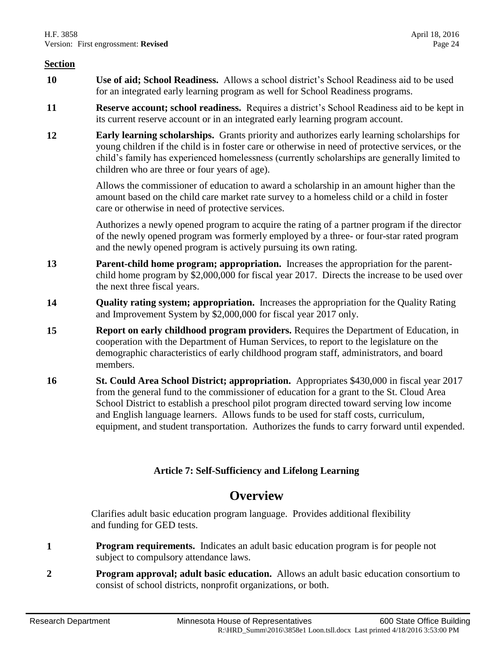- **10 Use of aid; School Readiness.** Allows a school district's School Readiness aid to be used for an integrated early learning program as well for School Readiness programs.
- **11 Reserve account; school readiness.** Requires a district's School Readiness aid to be kept in its current reserve account or in an integrated early learning program account.
- **12 Early learning scholarships.** Grants priority and authorizes early learning scholarships for young children if the child is in foster care or otherwise in need of protective services, or the child's family has experienced homelessness (currently scholarships are generally limited to children who are three or four years of age).

Allows the commissioner of education to award a scholarship in an amount higher than the amount based on the child care market rate survey to a homeless child or a child in foster care or otherwise in need of protective services.

Authorizes a newly opened program to acquire the rating of a partner program if the director of the newly opened program was formerly employed by a three- or four-star rated program and the newly opened program is actively pursuing its own rating.

- **13 Parent-child home program; appropriation.** Increases the appropriation for the parentchild home program by \$2,000,000 for fiscal year 2017. Directs the increase to be used over the next three fiscal years.
- **14 Quality rating system; appropriation.** Increases the appropriation for the Quality Rating and Improvement System by \$2,000,000 for fiscal year 2017 only.
- **15 Report on early childhood program providers.** Requires the Department of Education, in cooperation with the Department of Human Services, to report to the legislature on the demographic characteristics of early childhood program staff, administrators, and board members.
- **16 St. Could Area School District; appropriation.** Appropriates \$430,000 in fiscal year 2017 from the general fund to the commissioner of education for a grant to the St. Cloud Area School District to establish a preschool pilot program directed toward serving low income and English language learners. Allows funds to be used for staff costs, curriculum, equipment, and student transportation. Authorizes the funds to carry forward until expended.

# **Article 7: Self-Sufficiency and Lifelong Learning**

# **Overview**

Clarifies adult basic education program language. Provides additional flexibility and funding for GED tests.

- **1 Program requirements.** Indicates an adult basic education program is for people not subject to compulsory attendance laws.
- **2 Program approval; adult basic education.** Allows an adult basic education consortium to consist of school districts, nonprofit organizations, or both.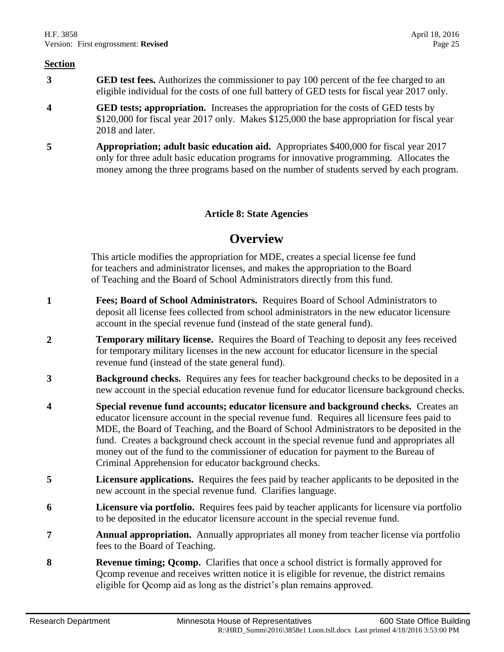- **3 GED test fees.** Authorizes the commissioner to pay 100 percent of the fee charged to an eligible individual for the costs of one full battery of GED tests for fiscal year 2017 only.
- **4 GED tests; appropriation.** Increases the appropriation for the costs of GED tests by \$120,000 for fiscal year 2017 only. Makes \$125,000 the base appropriation for fiscal year 2018 and later.
- **5 Appropriation; adult basic education aid.** Appropriates \$400,000 for fiscal year 2017 only for three adult basic education programs for innovative programming. Allocates the money among the three programs based on the number of students served by each program.

# **Article 8: State Agencies**

# **Overview**

This article modifies the appropriation for MDE, creates a special license fee fund for teachers and administrator licenses, and makes the appropriation to the Board of Teaching and the Board of School Administrators directly from this fund.

- **1 Fees; Board of School Administrators.** Requires Board of School Administrators to deposit all license fees collected from school administrators in the new educator licensure account in the special revenue fund (instead of the state general fund).
- **2 Temporary military license.** Requires the Board of Teaching to deposit any fees received for temporary military licenses in the new account for educator licensure in the special revenue fund (instead of the state general fund).
- **3 Background checks.** Requires any fees for teacher background checks to be deposited in a new account in the special education revenue fund for educator licensure background checks.
- **4 Special revenue fund accounts; educator licensure and background checks.** Creates an educator licensure account in the special revenue fund. Requires all licensure fees paid to MDE, the Board of Teaching, and the Board of School Administrators to be deposited in the fund. Creates a background check account in the special revenue fund and appropriates all money out of the fund to the commissioner of education for payment to the Bureau of Criminal Apprehension for educator background checks.
- **5 Licensure applications.** Requires the fees paid by teacher applicants to be deposited in the new account in the special revenue fund. Clarifies language.
- **6 Licensure via portfolio.** Requires fees paid by teacher applicants for licensure via portfolio to be deposited in the educator licensure account in the special revenue fund.
- **7 Annual appropriation.** Annually appropriates all money from teacher license via portfolio fees to the Board of Teaching.
- **8 Revenue timing; Qcomp.** Clarifies that once a school district is formally approved for Qcomp revenue and receives written notice it is eligible for revenue, the district remains eligible for Qcomp aid as long as the district's plan remains approved.